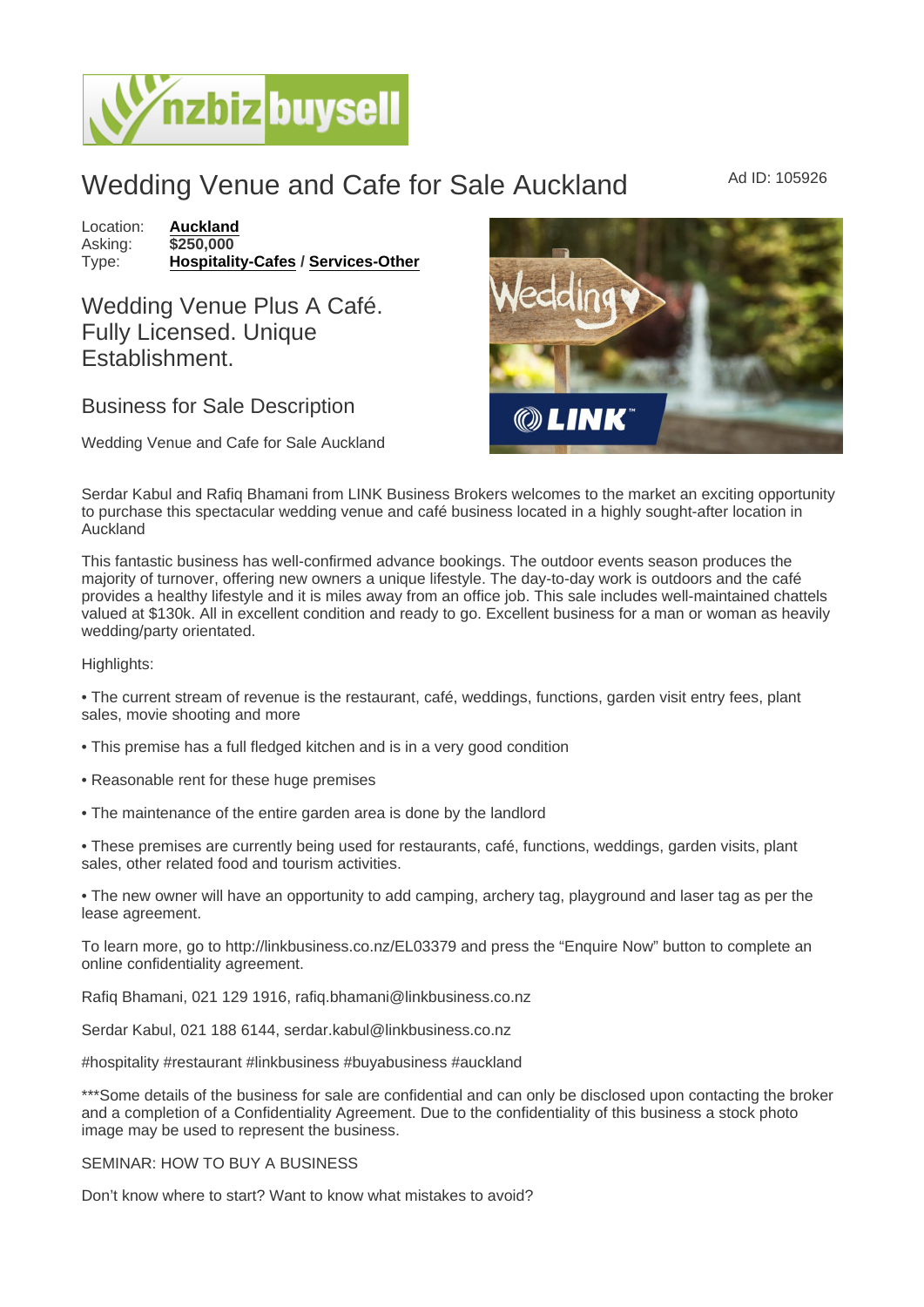## Wedding Venue and Cafe for Sale Auckland Ad ID: 105926

Location: [Auckland](https://www.nzbizbuysell.co.nz/businesses-for-sale/location/Auckland) Asking: \$250,000<br>Type: Hospitality [Hospitality-Cafes](https://www.nzbizbuysell.co.nz/businesses-for-sale/Cafes/New-Zealand) / [Services-Other](https://www.nzbizbuysell.co.nz/businesses-for-sale/Services/New-Zealand)

Wedding Venue Plus A Café. Fully Licensed. Unique Establishment.

## Business for Sale Description

Wedding Venue and Cafe for Sale Auckland

Serdar Kabul and Rafiq Bhamani from LINK Business Brokers welcomes to the market an exciting opportunity to purchase this spectacular wedding venue and café business located in a highly sought-after location in Auckland

This fantastic business has well-confirmed advance bookings. The outdoor events season produces the majority of turnover, offering new owners a unique lifestyle. The day-to-day work is outdoors and the café provides a healthy lifestyle and it is miles away from an office job. This sale includes well-maintained chattels valued at \$130k. All in excellent condition and ready to go. Excellent business for a man or woman as heavily wedding/party orientated.

Highlights:

• The current stream of revenue is the restaurant, café, weddings, functions, garden visit entry fees, plant sales, movie shooting and more

- This premise has a full fledged kitchen and is in a very good condition
- Reasonable rent for these huge premises
- The maintenance of the entire garden area is done by the landlord

• These premises are currently being used for restaurants, café, functions, weddings, garden visits, plant sales, other related food and tourism activities.

• The new owner will have an opportunity to add camping, archery tag, playground and laser tag as per the lease agreement.

To learn more, go to http://linkbusiness.co.nz/EL03379 and press the "Enquire Now" button to complete an online confidentiality agreement.

Rafiq Bhamani, 021 129 1916, rafiq.bhamani@linkbusiness.co.nz

Serdar Kabul, 021 188 6144, serdar.kabul@linkbusiness.co.nz

#hospitality #restaurant #linkbusiness #buyabusiness #auckland

\*\*\*Some details of the business for sale are confidential and can only be disclosed upon contacting the broker and a completion of a Confidentiality Agreement. Due to the confidentiality of this business a stock photo image may be used to represent the business.

## SEMINAR: HOW TO BUY A BUSINESS

Don't know where to start? Want to know what mistakes to avoid?